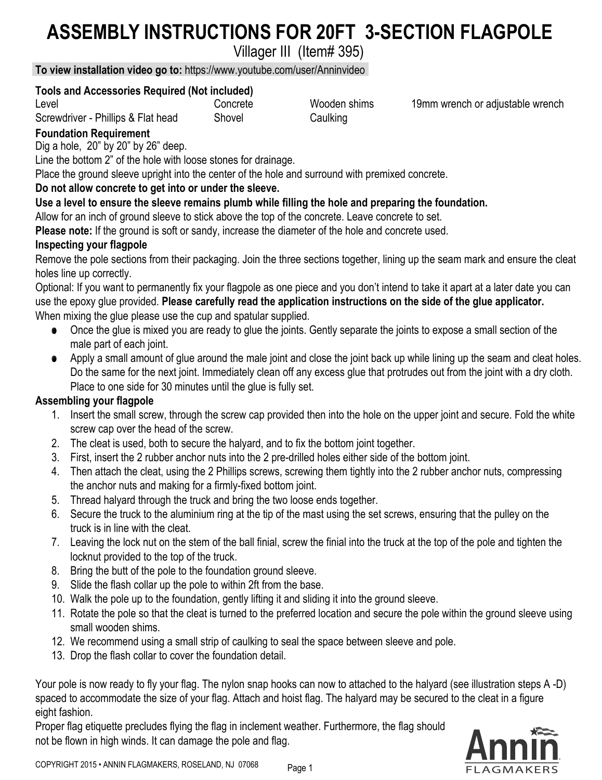# **ASSEMBLY INSTRUCTIONS FOR 20FT 3-SECTION FLAGPOLE**

Villager III (Item# 395)

Wooden shims 19mm wrench or adjustable wrench

Shovel Caulking

**To view installation video go to:** https://www.youtube.com/user/Anninvideo

#### **Tools and Accessories Required (Not included)** Concrete

Level

Screwdriver - Phillips & Flat head

# **Foundation Requirement**

Dig a hole, 20" by 20" by 26" deep.

Line the bottom 2" of the hole with loose stones for drainage.

Place the ground sleeve upright into the center of the hole and surround with premixed concrete.

### **Do not allow concrete to get into or under the sleeve.**

### **Use a level to ensure the sleeve remains plumb while filling the hole and preparing the foundation.**

Allow for an inch of ground sleeve to stick above the top of the concrete. Leave concrete to set.

**Please note:** If the ground is soft or sandy, increase the diameter of the hole and concrete used.

### **Inspecting your flagpole**

Remove the pole sections from their packaging. Join the three sections together, lining up the seam mark and ensure the cleat holes line up correctly.

Optional: If you want to permanently fix your flagpole as one piece and you don't intend to take it apart at a later date you can use the epoxy glue provided. **Please carefully read the application instructions on the side of the glue applicator.** When mixing the glue please use the cup and spatular supplied.

- o Once the glue is mixed you are ready to glue the joints. Gently separate the joints to expose a small section of the male part of each joint.
- o Apply a small amount of glue around the male joint and close the joint back up while lining up the seam and cleat holes. Do the same for the next joint. Immediately clean off any excess glue that protrudes out from the joint with a dry cloth. Place to one side for 30 minutes until the glue is fully set.

# **Assembling your flagpole**

- 1. Insert the small screw, through the screw cap provided then into the hole on the upper joint and secure. Fold the white screw cap over the head of the screw.
- 2. The cleat is used, both to secure the halyard, and to fix the bottom joint together.
- 3. First, insert the 2 rubber anchor nuts into the 2 pre-drilled holes either side of the bottom joint.
- 4. Then attach the cleat, using the 2 Phillips screws, screwing them tightly into the 2 rubber anchor nuts, compressing the anchor nuts and making for a firmly-fixed bottom joint.
- 5. Thread halyard through the truck and bring the two loose ends together.
- 6. Secure the truck to the aluminium ring at the tip of the mast using the set screws, ensuring that the pulley on the truck is in line with the cleat.
- 7. Leaving the lock nut on the stem of the ball finial, screw the finial into the truck at the top of the pole and tighten the locknut provided to the top of the truck.
- 8. Bring the butt of the pole to the foundation ground sleeve.
- 9. Slide the flash collar up the pole to within 2ft from the base.
- 10. Walk the pole up to the foundation, gently lifting it and sliding it into the ground sleeve.
- 11. Rotate the pole so that the cleat is turned to the preferred location and secure the pole within the ground sleeve using small wooden shims.
- 12. We recommend using a small strip of caulking to seal the space between sleeve and pole.
- 13. Drop the flash collar to cover the foundation detail.

Your pole is now ready to fly your flag. The nylon snap hooks can now to attached to the halyard (see illustration steps A -D) spaced to accommodate the size of your flag. Attach and hoist flag. The halyard may be secured to the cleat in a figure eight fashion.

Proper flag etiquette precludes flying the flag in inclement weather. Furthermore, the flag should not be flown in high winds. It can damage the pole and flag.